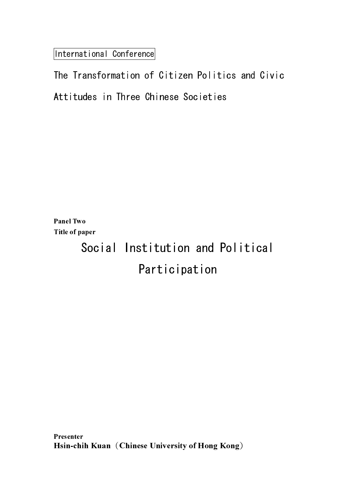International Conference

Panel Two Title of paper

# Social Institution and Political Participation

Presenter IIUSUHUI<br>TT+ I Hsin-chih Kuan (Chinese University of Hong Kong)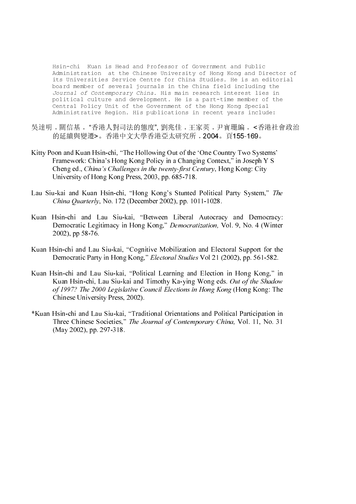Hsin-chi Kuan is Head and Professor of Government and Public Administration at the Chinese University of Hong Kong and Director of its Universities Service Centre for China Studies. He is an editorial board member of several journals in the China field including the Journal of Contemporary China. His main research interest lies in political culture and development. He is a part-time member of the Central Policy Unit of the Government of the Hong Kong Special Administrative Region. His publications in recent years include:

- 吳達明﹐關信基﹐ "香港人對司法的態度", 劉兆佳﹐王家英﹐尹寶珊編﹐ <香港社會政治 的建顏與發達·。 有他「大八子百他並太所几的」,**2004**。頁1**00-100**。
- Kitty Poon and Kuan Hsin-chi, "The Hollowing Out of the 'One Country Two Systems' Framework: China's Hong Kong Policy in a Changing Context," in Joseph Y S Cheng ed., China's Challenges in the twenty-first Century, Hong Kong: City University of Hong Kong Press, 2003, pp. 685-718.
- Lau Siu-kai and Kuan Hsin-chi, "Hong Kong's Stunted Political Party System," The China Quarterly, No. 172 (December 2002), pp. 1011-1028.
- Kuan Hsin-chi and Lau Siu-kai, "Between Liberal Autocracy and Democracy: Democratic Legitimacy in Hong Kong," Democratization, Vol. 9, No. 4 (Winter 2002), pp 58-76.
- Kuan Hsin-chi and Lau Siu-kai, "Cognitive Mobilization and Electoral Support for the Democratic Party in Hong Kong," Electoral Studies Vol 21 (2002), pp. 561-582.
- Cheng ed., China's Challenges in the twenty-first Century, Hong Kong: City<br>China's China's Challenges in the twenty-first Century, Hong Kong: City<br>L-s-kai and Kuan Hsin-chi, "Hong Kong's Stunted Political Party System,"<br> Lau Siu-kai and Kuan Hsin-chi, "Hong Kong's Stunted Political Party System," The Uchina Quarterly, No. 172 (December 2002), pp. 1011-1028.<br>
Kuan Hsin-chi and Tau Siu-kai, "Hetween Taberal Autocracy and Democracy.<br>
Democra China Quarterly, No. 172 (December 2002), pp. 1011-1028.<br>Hsin-chi and Lau Siu-kai, "Between Liberal Autocrac<br>Democratic Legitimacy in Hong Kong," *Democratization*, N<br>2002), pp 58-76.<br>Isin-chi and Lau Siu-kai, "Cognitive M Democratic Legitimacy in Hong Kong," *Democratization*, Vol. 9, No. 4 (Winter 2002), pp 58-76.<br>
2002), pp 58-76.<br>
Isin-chi and Jau Siu-kai, "Cognitive Mobilization and Electoral Support for the interval and Hau Siu-kai, "P Democratic Party in Hong Kong," *Electoral Studies* Vol 21 (2002), pp. 561-582.<br>
Isin-chi and Lau Siu-kai, "Political Learning and Election in Hong Kong," is<br>
Kuan Hsin-chi, Lau Siu-kai and Timothy Ka-ying Wong eds. *Out o* Kuan Hsin-chi and Lau Siu-kai, "Political Learning and Election in Hong Kong," in Kuan Hsin-chi, Lau Siu-kai and Timothy Ka-ying Wong eds. Out of the Shadow of 1997? The 2000 Legislative Council Elections in Hong Kong (Hong Kong: The Chinese University Press, 2002).
- Kuan Hsin-chi, Lau Siu-kai and Timothy Ka-ying Wong eds. Out of the Shadow<br>of 1997? The 2000 Legislative Council Elections in Hong Kong (Hong Kong: The<br>Chinese University Press, 2002).<br>Hsin-chi and Lau Siu-kai, "Traditiona of 1997? The 2000 Legislative Council Elections in Hong Kong (Hong Kong: The Chinese University Press, 2002).<br>
Hsin-chi and Lau Siu-kai, "Traditional Orientations and Political Participation in Three Chinese Societies," Th \*Kuan Hsin-chi and Lau Siu-kai, "Traditional Orientations and Political Participation in Three Chinese Societies," The Journal of Contemporary China, Vol. 11, No. 31 Three Chinese Societies," *The Journal of Contemporary China*, Vol. 11, No. 31 (May 2002), pp. 297-318. (May 2002), pp. 297-318.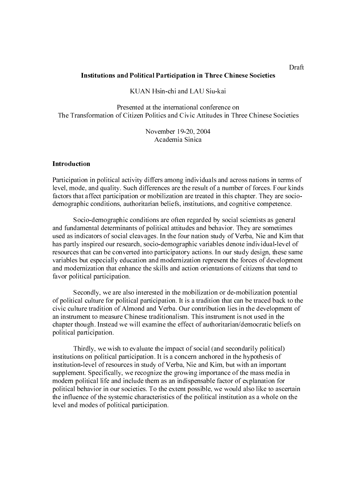#### **Institutions and Political Participation in Three Chinese Societies**

## KUAN Hsin-chi and LAU Siu-kai

Presented at the international conference on The Transformation of Citizen Politics and Civic Attitudes in Three Chinese Societies

> November 19-20, 2004 Academia Sinica

#### Introduction

Participation in political activity differs among individuals and across nations in terms of level, mode, and quality. Such differences are the result of a number of forces. Four kinds factors that affect participation or mobilization are treated in this chapter. They are sociodemographic conditions, authoritarian beliefs, institutions, and cognitive competence.

INSTANT Him-chi and LAU Siu-kai<br>
Presented at the international conference on<br>
Soformation of Citizen Politics and Civic Artitudes in Thee Chinese S<br>
Sovember 19-20, 2004<br>
Academia Sirica<br>
inn<br>
in participation in The Chin Participation i<br>level, mode, an<br>factors that aff<br>demographic c<br>Socio-<br>and fundamen<br>used as indica<br>has partly insp<br>resources that<br>variables but e<br>and moderniza<br>favor political Seconc<br>of political cul<br>civic culture tr<br>an ins Socio-demographic conditions are often regarded by social scientists as general and fundamental determinants of political attitudes and behavior. They are sometimes used as indicators of social cleavages. In the four nation study of Verba, Nie and Kim that has partly inspired our research, socio-demographic variables denote individual-level of resources that can be converted into participatory actions. In our study design, these same variables but especially education and modernization represent the forces of development and modernization that enhance the skills and action orientations of citizens that tend to favor political participation.

Secondly, we are also interested in the mobilization or de-mobilization potential of political culture for political participation. It is a tradition that can be traced back to the civic culture tradition of Almond and Verba. Our contribution lies in the development of an instrument to measure Chinese traditionalism. This instrument is not used in the chapter though. Instead we will examine the effect of authoritarian/democratic beliefs on political participation.

Thirdly, we wish to evaluate the impact of social (and secondarily political) institutions on political participation. It is a concern anchored in the hypothesis of institution-level of resources in study of Verba, Nie and Kim, but with an important supplement. Specifically, we recognize the growing importance of the mass media in modern political life and include them as an indispensable factor of explanation for political behavior in our societies. To the extent possible, we would also like to ascertain the influence of the systemic characteristics of the political institution as a whole on the level and modes of political participation.

Draft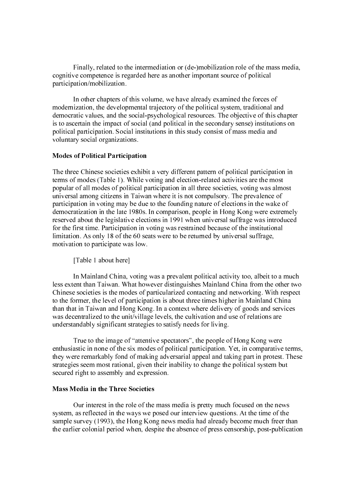Finally, related to the intermediation or (de-)mobilization role of the mass media, cognitive competence is regarded here as another important source of political participation/mobilization.

In other chapters of this volume, we have already examined the forces of modernization, the developmental trajectory of the political system, traditional and democratic values, and the social-psychological resources. The objective of this chapter is to ascertain the impact of social (and political in the secondary sense) institutions on political participation. Social institutions in this study consist of mass media and voluntary social organizations.

#### **Modes of Political Participation**

The three Chinese societies exhibitent explorements of modes (Table 1). While veppular of all modes of political piniorized in providination in the democratization in the late 1980s. reserved about the legislative elect fo The three Chinese societies exhibit a very different pattern of political participation in terms of modes (Table 1). While voting and election-related activities are the most popular of all modes of political participation in all three societies, voting was almost universal among citizens in Taiwan where it is not compulsory. The prevalence of participation in voting may be due to the founding nature of elections in the wake of democratization in the late 1980s. In comparison, people in Hong Kong were extremely reserved about the legislative elections in 1991 when universal suffrage was introduced for the first time. Participation in voting was restrained because of the institutional limitation. As only 18 of the 60 seats were to be returned by universal suffrage, motivation to participate was low.

[Table 1 about here]

In Mainland China, voting was a prevalent political activity too, albeit to a much less extent than Taiwan. What however distinguishes Mainland China from the other two Chinese societies is the modes of particularized contacting and networking. With respect to the former, the level of participation is about three times higher in Mainland China than that in Taiwan and Hong Kong. In a context where delivery of goods and services was decentralized to the unit/village levels, the cultivation and use of relations are understandably significant strategies to satisfy needs for living.

 True to the image of "attentive spectators", the people of Hong Kong were enthusiastic in none of the six modes of political participation. Yet, in comparative terms, they were remarkably fond of making adversarial appeal and taking part in protest. These strategies seem most rational, given their inability to change the political system but secured right to assembly and expression.

## **Mass Media in the Three Societies**

Our interest in the role of the<br>system, as reflected in the ways we p<br>sample survey (1993), the Hong Kon<br>the earlier colonial period when, desp<br> Our interest in the role of the mass media is pretty much focused on the news system, as reflected in the ways we posed our interview questions. At the time of the sample survey (1993), the Hong Kong news media had already become much freer than the earlier colonial period when, despite the absence of press censorship, post-publication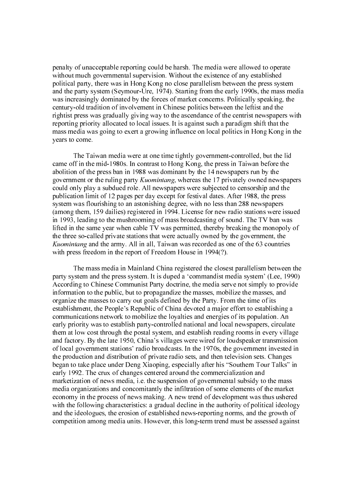penalty of unacceptable reporting could be harsh. The media were allowed to operate without much governmental supervision. Without the existence of any established political party, there was in Hong Kong no close parallelism between the press system and the party system (Seymour-Ure, 1974). Starting from the early 1990s, the mass media was increasingly dominated by the forces of market concerns. Politically speaking, the century-old tradition of involvement in Chinese politics between the leftist and the rightist press was gradually giving way to the ascendance of the centrist newspapers with reporting priority allocated to local issues. It is against such a paradigm shift that the mass media was going to exert a growing influence on local politics in Hong Kong in the years to come.

The Taiwan media were at one time tightly government-controlled, but the lid came off in the mid-1980s. In contrast to Hong Kong, the press in Taiwan before the abolition of the press ban in 1988 was dominant by the 14 newspapers run by the government or the ruling party *Kuomintang*, whereas the 17 privately owned newspapers could only play a subdued role. All newspapers were subjected to censorship and the publication limit of 12 pages per day except for festival dates. After 1988, the press system was flourishing to an astonishing degree, with no less than 288 newspapers (among them, 159 dailies) registered in 1994. License for new radio stations were issued in 1993, leading to the mushrooming of mass broadcasting of sound. The TV ban was lifted in the same year when cable TV was permitted, thereby breaking the monopoly of the three so-called private stations that were actually owned by the government, the *Kuomintang* and the army. All in all, Taiwan was recorded as one of the 63 countries with press freedom in the report of Freedom House in 1994(?).

government or the truling party Kuomintang, whereas the 17 privately owned above spapers were subjected to censorship and the publication limit of 12 party acts except for relativel aduces. After 1908, the press, the prope Knomintang and the army. All in all, Taiwan was recorded as one of the 63 countries<br>with press freedom min the report of Freedom House in 1994(?).<br>The mass media in Mainland China registered the closest parallelism betwee The mass media in Mainland China registered the closest parallelism between the party system and the press system. It is duped a 'commandist media system' (Lee, 1990) According to Chinese Communist Party doctrine, the media serve not simply to provide information to the public, but to propagandize the masses, mobilize the masses, and organize the masses to carry out goals defined by the Party. From the time of its establishment, the People's Republic of China devoted a major effort to establishing a communications network to mobilize the loyalties and energies of its population. An early priority was to establish party-controlled national and local newspapers, circulate them at low cost through the postal system, and establish reading rooms in every village and factory. By the late 1950, China's villages were wired for loudspeaker transmission of local government stations' radio broadcasts. In the 1970s, the government invested in the production and distribution of private radio sets, and then television sets. Changes began to take place under Deng Xiaoping, especially after his "Southern Tour Talks" in early 1992. The crux of changes centered around the commercialization and marketization of news media, i.e. the suspension of governmental subsidy to the mass media organizations and concomitantly the infiltration of some elements of the market economy in the process of news making. A new trend of development was thus ushered with the following characteristics: a gradual decline in the authority of political ideology and the ideologues, the erosion of established news-reporting norms, and the growth of competition among media units. However, this long-term trend must be assessed against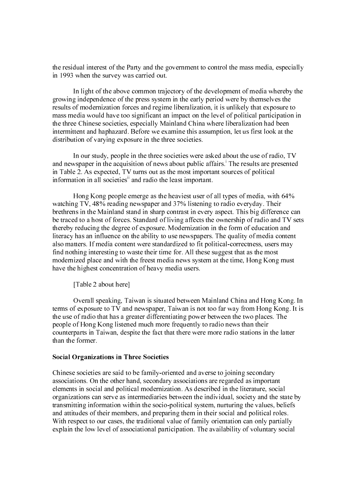the residual interest of the Party and the government to control the mass media, especially in 1993 when the survey was carried out.

In light of the above common trajectory of the development of media whereby the growing independence of the press system in the early period were by themselves the results of modernization forces and regime liberalization, it is unlikely that exposure to mass media would have too significant an impact on the level of political participation in the three Chinese societies, especially Mainland China where liberalization had been intermittent and haphazard. Before we examine this assumption, let us first look at the distribution of varying exposure in the three societies.

In our study, people in the three societies were asked about the use of radio, TV and newspaper in the acquisition of news about public affairs.<sup>1</sup> The results are presented in Table 2. As expected, TV turns out as the most important sources of political information in all societies<sup>ii</sup> and radio the least important.

Hong Kong people emerge as the heaviest user of all types of media, with 64% watching TV, 48% reading newspaper and 37% listening to radio everyday. Their brethrens in the Mainland stand in sharp contrast in every aspect. This big difference can be traced to a host of forces. Standard of living affects the ownership of radio and TV sets thereby reducing the degree of exposure. Modernization in the form of education and literacy has an influence on the ability to use newspapers. The quality of media content also matters. If media content were standardized to fit political-correctness, users may find nothing interesting to waste their time for. All these suggest that as the most modernized place and with the freest media news system at the time, Hong Kong must have the highest concentration of heavy media users.

[Table 2 about here]

Overall speaking, Taiwan is situated between Mainland China and Hong Kong. In terms of exposure to TV and newspaper, Taiwan is not too far way from Hong Kong. It is the use of radio that has a greater differentiating power between the two places. The people of Hong Kong listened much more frequently to radio news than their counterparts in Taiwan, despite the fact that there were more radio stations in the latter than the former.

### **Social Organizations in Three Societies**

Chinese societies are said to be family-oriassociations. On the other hand, secondary<br>elements in social and political moderniza<br>organizations can serve as intermediaries t<br>transmitting information within the socio-<br>and at Chinese societies are said to be family-oriented and averse to joining secondary associations. On the other hand, secondary associations are regarded as important elements in social and political modernization. As described in the literature, social organizations can serve as intermediaries between the individual, society and the state by transmitting information within the socio-political system, nurturing the values, beliefs and attitudes of their members, and preparing them in their social and political roles. With respect to our cases, the traditional value of family orientation can only partially explain the low level of associational participation. The availability of voluntary social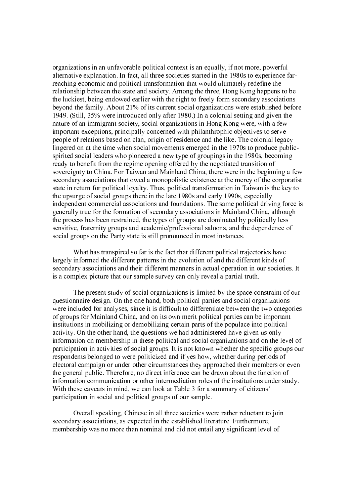organizations in an unfavorable political context is an equally, if not more, powerful alternative explanation. In fact, all three societies started in the 1980s to experience farreaching economic and political transformation that would ultimately redefine the relationship between the state and society. Among the three, Hong Kong happens to be the luckiest, being endowed earlier with the right to freely form secondary associations beyond the family. About 21% of its current social organizations were established before 1949. (Still, 35% were introduced only after 1980.) In a colonial setting and given the nature of an immigrant society, social organizations in Hong Kong were, with a few important exceptions, principally concerned with philanthrophic objectives to serve people of relations based on clan, origin of residence and the like. The colonial legacy lingered on at the time when social movements emerged in the 1970s to produce publicspirited social leaders who pioneered a new type of groupings in the 1980s, becoming ready to benefit from the regime opening offered by the negotiated transition of sovereignty to China. For Taiwan and Mainland China, there were in the beginning a few secondary associations that owed a monopolistic existence at the mercy of the corporatist state in return for political loyalty. Thus, political transformation in Taiwan is the key to the upsurge of social groups there in the late 1980s and early 1990s, especially independent commercial associations and foundations. The same political driving force is generally true for the formation of secondary associations in Mainland China, although the process has been restrained, the types of groups are dominated by politically less sensitive, fraternity groups and academic/professional saloons, and the dependence of social groups on the Party state is still pronounced in most instances.

What has transpired so far is the fact that different political trajectories have largely informed the different patterns in the evolution of and the different kinds of secondary associations and their different manners in actual operation in our societies. It is a complex picture that our sample survey can only reveal a partial truth.

The present study of social organizations is limited by the space constraint of our questionnaire design. On the one hand, both political parties and social organizations were included for analyses, since it is difficult to differentiate between the two categories of groups for Mainland China, and on its own merit political parties can be important institutions in mobilizing or demobilizing certain parts of the populace into political activity. On the other hand, the questions we had administered have given us only information on membership in these political and social organizations and on the level of participation in activities of social groups. It is not known whether the specific groups our respondents belonged to were politicized and if yes how, whether during periods of electoral campaign or under other circumstances they approached their members or even the general public. Therefore, no direct inference can be drawn about the function of information communication or other intermediation roles of the institutions under study. With these caveats in mind, we can look at Table 3 for a summary of citizens' participation in social and political groups of our sample.

Overall speaking, Chinese in all three societies were rather reluctant to join secondary associations, as expected in the established literature. Furthermore, membership was no more than nominal and did not entail any significant level of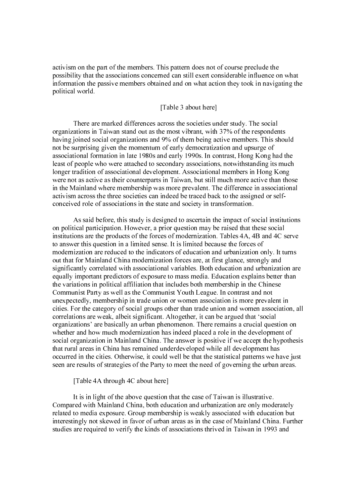activism on the part of the members. This pattern does not of course preclude the possibility that the associations concerned can still exert considerable influence on what information the passive members obtained and on what action they took in navigating the political world.

## [Table 3 about here]

There are marked differences across the societies under study. The social organizations in Taiwan stand out as the most vibrant, with 37% of the respondents having joined social organizations and 9% of them being active members. This should not be surprising given the momentum of early democratization and upsurge of associational formation in late 1980s and early 1990s. In contrast, Hong Kong had the least of people who were attached to secondary associations, notwithstanding its much longer tradition of associational development. Associational members in Hong Kong were not as active as their counterparts in Taiwan, but still much more active than those in the Mainland where membership was more prevalent. The difference in associational activism across the three societies can indeed be traced back to the assigned or selfconceived role of associations in the state and society in transformation.

As said before, this study is designed to ascertain the impact of social institutions on political participation. However, a prior question may be raised that these social institutions are the products of the forces of modernization. Tables 4A, 4B and 4C serve to answer this question in a limited sense. It is limited because the forces of modernization are reduced to the indicators of education and urbanization only. It turns out that for Mainland China modernization forces are, at first glance, strongly and significantly correlated with associational variables. Both education and urbanization are equally important predictors of exposure to mass media. Education explains better than the variations in political affiliation that includes both membership in the Chinese Communist Party as well as the Communist Youth League. In contrast and not unexpectedly, membership in trade union or women association is more prevalent in cities. For the category of social groups other than trade union and women association, all correlations are weak, albeit significant. Altogether, it can be argued that 'social organizations' are basically an urban phenomenon. There remains a crucial question on whether and how much modernization has indeed placed a role in the development of social organization in Mainland China. The answer is positive if we accept the hypothesis that rural areas in China has remained underdeveloped while all development has occurred in the cities. Otherwise, it could well be that the statistical patterns we have just seen are results of strategies of the Party to meet the need of governing the urban areas.

#### [Table 4A through 4C about here]

It is in light of the above question that the case of Taiwan is illustrative. Compared with Mainland China, both education and urbanization are only moderately related to media exposure. Group membership is weakly associated with education but interestingly not skewed in favor of urban areas as in the case of Mainland China. Further studies are required to verify the kinds of associations thrived in Taiwan in 1993 and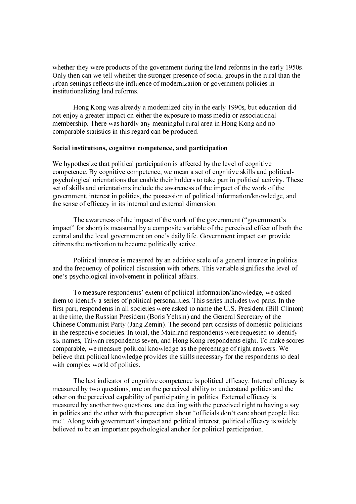whether they were products of the government during the land reforms in the early 1950s. Only then can we tell whether the stronger presence of social groups in the rural than the urban settings reflects the influence of modernization or government policies in institutionalizing land reforms.

Hong Kong was already a modernized city in the early 1990s, but education did not enjoy a greater impact on either the exposure to mass media or associational membership. There was hardly any meaningful rural area in Hong Kong and no comparable statistics in this regard can be produced.

#### Social institutions, cognitive competence, and participation

We hypothesize that political participation is affected by the level of cognitive competence. By cognitive competence, we mean a set of cognitive skills and politicalpsychological orientations that enable their holders to take part in political activity. These set of skills and orientations include the awareness of the impact of the work of the government, interest in politics, the possession of political information/knowledge, and the sense of efficacy in its internal and external dimension.

The awareness of the impact of the work of the government ("government's impact" for short) is measured by a composite variable of the perceived effect of both the central and the local government on one's daily life. Government impact can provide citizens the motivation to become politically active.

Political interest is measured by an additive scale of a general interest in politics and the frequency of political discussion with others. This variable signifies the level of one's psychological involvement in political affairs.

We hypothesize that political participation is affected by the levompetence. By cognitive competence, we mean a set of cognity<br>expondence. By cognitive competence, we mean a set of cognity<br>expondencel orientations include To measure respondents' extent of political information/knowledge, we asked them to identify a series of political personalities. This series includes two parts. In the first part, respondents in all societies were asked to name the U.S. President (Bill Clinton) at the time, the Russian President (Boris Yeltsin) and the General Secretary of the Chinese Communist Party (Jang Zemin). The second part consists of domestic politicians in the respective societies. In total, the Mainland respondents were requested to identify six names, Taiwan respondents seven, and Hong Kong respondents eight. To make scores comparable, we measure political knowledge as the percentage of right answers. We believe that political knowledge provides the skills necessary for the respondents to deal with complex world of politics.

The last indicator of cognitive competence is political efficacy. Internal efficacy is measured by two questions, one on the perceived ability to understand politics and the other on the perceived capability of participating in politics. External efficacy is measured by another two questions, one dealing with the perceived right to having a say in politics and the other with the perception about "officials don't care about people like me". Along with government's impact and political interest, political efficacy is widely believed to be an important psychological anchor for political participation.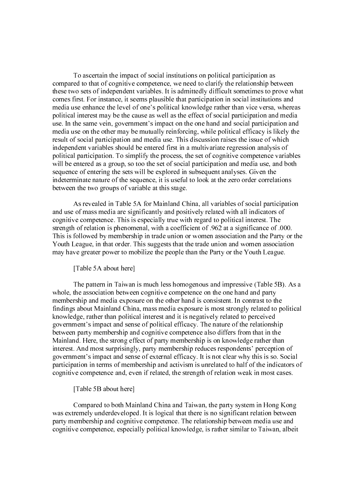To ascertain the impact of social institutions on political participation as compared to that of cognitive competence, we need to clarify the relationship between these two sets of independent variables. It is admittedly difficult sometimes to prove what comes first. For instance, it seems plausible that participation in social institutions and media use enhance the level of one's political knowledge rather than vice versa, whereas political interest may be the cause as well as the effect of social participation and media use. In the same vein, government's impact on the one hand and social participation and media use on the other may be mutually reinforcing, while political efficacy is likely the result of social participation and media use. This discussion raises the issue of which independent variables should be entered first in a multivariate regression analysis of political participation. To simplify the process, the set of cognitive competence variables will be entered as a group, so too the set of social participation and media use, and both sequence of entering the sets will be explored in subsequent analyses. Given the indeterminate nature of the sequence, it is useful to look at the zero order correlations between the two groups of variable at this stage.

 As revealed in Table 5A for Mainland China, all variables of social participation and use of mass media are significantly and positively related with all indicators of cognitive competence. This is especially true with regard to political interest. The strength of relation is phenomenal, with a coefficient of .962 at a significance of .000. This is followed by membership in trade union or women association and the Party or the Youth League, in that order. This suggests that the trade union and women association may have greater power to mobilize the people than the Party or the Youth League.

[Table 5A about here]

 The pattern in Taiwan is much less homogenous and impressive (Table 5B). As a whole, the association between cognitive competence on the one hand and party membership and media exposure on the other hand is consistent. In contrast to the findings about Mainland China, mass media exposure is most strongly related to political knowledge, rather than political interest and it is negatively related to perceived government's impact and sense of political efficacy. The nature of the relationship between party membership and cognitive competence also differs from that in the Mainland. Here, the strong effect of party membership is on knowledge rather than interest. And most surprisingly, party membership reduces respondents' perception of government's impact and sense of external efficacy. It is not clear why this is so. Social participation in terms of membership and activism is unrelated to half of the indicators of cognitive competence and, even if related, the strength of relation weak in most cases.

#### [Table 5B about here]

 Compared to both Mainland China and Taiwan, the party system in Hong Kong was extremely underdeveloped. It is logical that there is no significant relation between party membership and cognitive competence. The relationship between media use and cognitive competence, especially political knowledge, is rather similar to Taiwan, albeit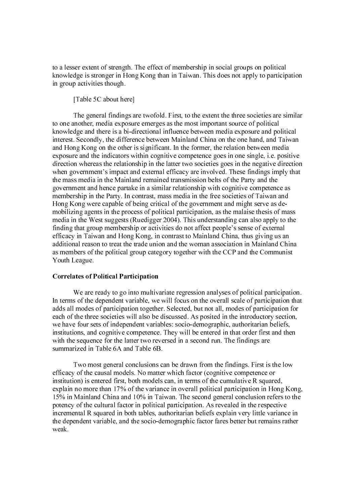to a lesser extent of strength. The effect of membership in social groups on political knowledge is stronger in Hong Kong than in Taiwan. This does not apply to participation in group activities though.

#### [Table 5C about here]

 The general findings are twofold. First, to the extent the three societies are similar to one another, media exposure emerges as the most important source of political knowledge and there is a bi-directional influence between media exposure and political interest. Secondly, the difference between Mainland China on the one hand, and Taiwan and Hong Kong on the other is significant. In the former, the relation between media exposure and the indicators within cognitive competence goes in one single, i.e. positive direction whereas the relationship in the latter two societies goes in the negative direction when government's impact and external efficacy are involved. These findings imply that the mass media in the Mainland remained transmission belts of the Party and the government and hence partake in a similar relationship with cognitive competence as membership in the Party. In contrast, mass media in the free societies of Taiwan and Hong Kong were capable of being critical of the government and might serve as demobilizing agents in the process of political participation, as the malaise thesis of mass media in the West suggests (Ruedigger 2004). This understanding can also apply to the finding that group membership or activities do not affect people's sense of external efficacy in Taiwan and Hong Kong, in contrast to Mainland China, thus giving us an additional reason to treat the trade union and the woman association in Mainland China as members of the political group category together with the CCP and the Communist Youth League.

#### **Correlates of Political Participation**

 We are ready to go into multivariate regression analyses of political participation. In terms of the dependent variable, we will focus on the overall scale of participation that adds all modes of participation together. Selected, but not all, modes of participation for each of the three societies will also be discussed. As posited in the introductory section, we have four sets of independent variables: socio-demographic, authoritarian beliefs, institutions, and cognitive competence. They will be entered in that order first and then with the sequence for the latter two reversed in a second run. The findings are summarized in Table 6A and Table 6B.

We are ready to go into multivary<br>In terms of the dependent variable, we<br>adds all modes of participation togethe<br>each of the three societies will also be<br>we have four sets of independent varia<br>institutions, and cognitive c Two most general conclusions can be drawn from the findings. First is the low efficacy of the causal models. No matter which factor (cognitive competence or institution) is entered first, both models can, in terms of the cumulative R squared, explain no more than 17% of the variance in overall political participation in Hong Kong, 15% in Mainland China and 10% in Taiwan. The second general conclusion refers to the potency of the cultural factor in political participation. As revealed in the respective incremental R squared in both tables, authoritarian beliefs explain very little variance in the dependent variable, and the socio-demographic factor fares better but remains rather weak.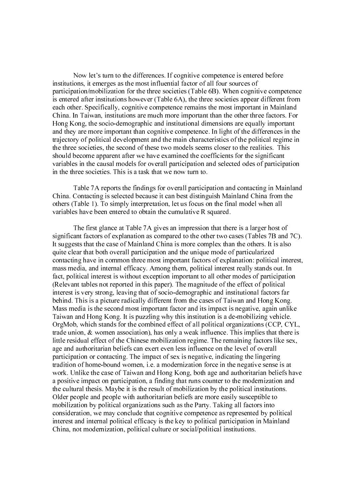Now let's turn to the differences. If cognitive competence is entered before institutions, it emerges as the most influential factor of all four sources of participation/mobilization for the three societies (Table 6B). When cognitive competence is entered after institutions however (Table 6A), the three societies appear different from each other. Specifically, cognitive competence remains the most important in Mainland China. In Taiwan, institutions are much more important than the other three factors. For Hong Kong, the socio-demographic and institutional dimensions are equally important and they are more important than cognitive competence. In light of the differences in the trajectory of political development and the main characteristics of the political regime in the three societies, the second of these two models seems closer to the realities. This should become apparent after we have examined the coefficients for the significant variables in the causal models for overall participation and selected odes of participation in the three societies. This is a task that we now turn to.

Table 7A reports the findings for overall participation and contacting in Mainland China. Contacting is selected because it can best distinguish Mainland China from the others (Table 1). To simply interpretation, let us focus on the final model when all variables have been entered to obtain the cumulative R squared.

The first glance at Table 7A gives an impression that there is a larger host of significant factors of explanation as compared to the other two cases (Tables 7B and 7C). It suggests that the case of Mainland China is more complex than the others. It is also quite clear that both overall participation and the unique mode of particularized contacting have in common three most important factors of explanation: political interest, mass media, and internal efficacy. Among them, political interest really stands out. In fact, political interest is without exception important to all other modes of participation (Relevant tables not reported in this paper). The magnitude of the effect of political interest is very strong, leaving that of socio-demographic and institutional factors far behind. This is a picture radically different from the cases of Taiwan and Hong Kong. Mass media is the second most important factor and its impact is negative, again unlike Taiwan and Hong Kong. It is puzzling why this institution is a de-mobilizing vehicle. OrgMob, which stands for the combined effect of all political organizations (CCP, CYL, trade union, & women association), has only a weak influence. This implies that there is little residual effect of the Chinese mobilization regime. The remaining factors like sex, age and authoritarian beliefs can exert even less influence on the level of overall participation or contacting. The impact of sex is negative, indicating the lingering tradition of home-bound women, i.e. a modernization force in the negative sense is at work. Unlike the case of Taiwan and Hong Kong, both age and authoritarian beliefs have a positive impact on participation, a finding that runs counter to the modernization and the cultural thesis. Maybe it is the result of mobilization by the political institutions. Older people and people with authoritarian beliefs are more easily susceptible to mobilization by political organizations such as the Party. Taking all factors into consideration, we may conclude that cognitive competence as represented by political interest and internal political efficacy is the key to political participation in Mainland China, not modernization, political culture or social/political institutions.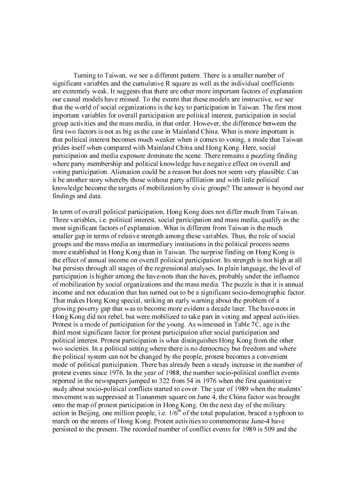Turning to Taiwan, we see a different pattern. There is a smaller number of significant variables and the cumulative R square as well as the individual coefficients are extremely weak. It suggests that there are other more important factors of explanation our causal models have missed. To the extent that these models are instructive, we see that the world of social organizations is the key to participation in Taiwan. The first most important variables for overall participation are political interest, participation in social group activities and the mass media, in that order. However, the difference between the first two factors is not as big as the case in Mainland China. What is more important is that political interest becomes much weaker when it comes to voting, a mode that Taiwan prides itself when compared with Mainland China and Hong Kong. Here, social participation and media exposure dominate the scene. There remains a puzzling finding where party membership and political knowledge have negative effect on overall and voting participation. Alienation could be a reason but does not seem very plausible. Can it be another story whereby those without party affiliation and with little political knowledge become the targets of mobilization by civic groups? The answer is beyond our findings and data.

In term of overall political participation, Hong Kong does not differ much from Taiwan. Three variables, i.e. political interest, social participation and mass media, qualify as the most significant factors of explanation. What is different from Taiwan is the much smaller gap in terms of relative strength among these variables. Thus, the role of social groups and the mass media as intermediary institutions in the political process seems more established in Hong Kong than in Taiwan. The surprise finding on Hong Kong is the effect of annual income on overall political participation. Its strength is not high at all but persists through all stages of the regressional analyses. In plain language, the level of participation is higher among the have-nots than the haves, probably under the influence of mobilization by social organizations and the mass media. The puzzle is that it is annual income and not education that has turned out to be a significant socio-demographic factor. That makes Hong Kong special, striking an early warning about the problem of a growing poverty gap that was to become more evident a decade later. The have-nots in Hong Kong did not rebel, but were mobilized to take part in voting and appeal activities. Protest is a mode of participation for the young. As witnessed in Table 7C, age is the third most significant factor for protest participation after social participation and political interest. Protest participation is what distinguishes Hong Kong from the other two societies. In a political setting where there is no democracy but freedom and where the political system can not be changed by the people, protest becomes a convenient mode of political participation. There has already been a steady increase in the number of protest events since 1976. In the year of 1988, the number socio-political conflict events reported in the newspapers jumped to 322 from 54 in 1976 when the first quantitative study about socio-political conflicts started to cover. The year of 1989 when the students' movement was suppressed at Tiananmen square on June 4, the China factor was brought onto the map of protest participation in Hong Kong. On the next day of the military action in Beijing, one million people, i.e.  $1/6^{th}$  of the total population, braced a typhoon to march on the streets of Hong Kong. Protest activities to commemorate June-4 have persisted to the present. The recorded number of conflict events for 1989 is 509 and the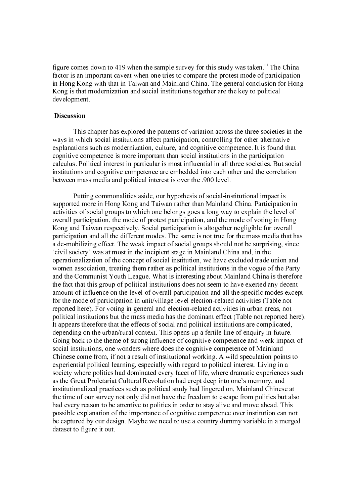figure comes down to 419 when the sample survey for this study was taken.<sup>iii</sup> The China factor is an important caveat when one tries to compare the protest mode of participation in Hong Kong with that in Taiwan and Mainland China. The general conclusion for Hong Kong is that modernization and social institutions together are the key to political development.

#### **Discussion**

 This chapter has explored the patterns of variation across the three societies in the ways in which social institutions affect participation, controlling for other alternative explanations such as modernization, culture, and cognitive competence. It is found that cognitive competence is more important than social institutions in the participation calculus. Political interest in particular is most influential in all three societies. But social institutions and cognitive competence are embedded into each other and the correlation between mass media and political interest is over the .900 level.

Discussion<br>This<br>ways in whice<br>explanations<br>cognitive co<br>calculus. Pol<br>institutions a<br>between mas<br>Putti:<br>supported m<br>activities of<br>overall partic<br>participation<br>a de-mobiliz<br>'civil society<br>operationaliz<br>women asso<br>and the Co Putting commonalities aside, our hypothesis of social-institutional impact is supported more in Hong Kong and Taiwan rather than Mainland China. Participation in activities of social groups to which one belongs goes a long way to explain the level of overall participation, the mode of protest participation, and the mode of voting in Hong Kong and Taiwan respectively. Social participation is altogether negligible for overall participation and all the different modes. The same is not true for the mass media that has a de-mobilizing effect. The weak impact of social groups should not be surprising, since 'civil society' was at most in the incipient stage in Mainland China and, in the operationalization of the concept of social institution, we have excluded trade union and women association, treating them rather as political institutions in the vogue of the Party and the Communist Youth League. What is interesting about Mainland China is therefore the fact that this group of political institutions does not seem to have exerted any decent amount of influence on the level of overall participation and all the specific modes except for the mode of participation in unit/village level election-related activities (Table not reported here). For voting in general and election-related activities in urban areas, not political institutions but the mass media has the dominant effect (Table not reported here). It appears therefore that the effects of social and political institutions are complicated, depending on the urban/rural context. This opens up a fertile line of enquiry in future. Going back to the theme of strong influence of cognitive competence and weak impact of social institutions, one wonders where does the cognitive competence of Mainland Chinese come from, if not a result of institutional working. A wild speculation points to experiential political learning, especially with regard to political interest. Living in a society where politics had dominated every facet of life, where dramatic experiences such as the Great Proletariat Cultural Revolution had crept deep into one's memory, and institutionalized practices such as political study had lingered on, Mainland Chinese at the time of our survey not only did not have the freedom to escape from politics but also had every reason to be attentive to politics in order to stay alive and move ahead. This possible explanation of the importance of cognitive competence over institution can not be captured by our design. Maybe we need to use a country dummy variable in a merged dataset to figure it out.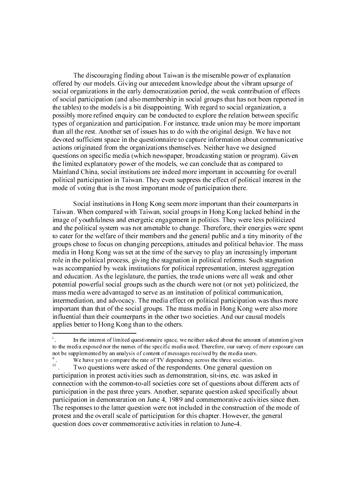The discouraging finding about Taiwan is the miserable power of explanation offered by our models. Giving our antecedent knowledge about the vibrant upsurge of social organizations in the early democratization period, the weak contribution of effects of social participation (and also membership in social groups that has not been reported in the tables) to the models is a bit disappointing. With regard to social organization, a possibly more refined enquiry can be conducted to explore the relation between specific types of organization and participation. For instance, trade union may be more important than all the rest. Another set of issues has to do with the original design. We have not devoted sufficient space in the questionnaire to capture information about communicative actions originated from the organizations themselves. Neither have we designed questions on specific media (which newspaper, broadcasting station or program). Given the limited explanatory power of the models, we can conclude that as compared to Mainland China, social institutions are indeed more important in accounting for overall political participation in Taiwan. They even suppress the effect of political interest in the mode of voting that is the most important mode of participation there.

Social institutions in Hong Kong seem more important than their counterparts in Taiwan. When compared with Taiwan, social groups in Hong Kong lacked behind in the image of youthfulness and energetic engagement in politics. They were less politicized and the political system was not amenable to change. Therefore, their energies were spent to cater for the welfare of their members and the general public and a tiny minority of the groups chose to focus on changing perceptions, attitudes and political behavior. The mass media in Hong Kong was set at the time of the survey to play an increasingly important role in the political process, giving the stagnation in political reforms. Such stagnation was accompanied by weak institutions for political representation, interest aggregation and education. As the legislature, the parties, the trade unions were all weak and other potential powerful social groups such as the church were not (or not yet) politicized, the mass media were advantaged to serve as an institution of political communication, intermediation, and advocacy. The media effect on political participation was thus more important than that of the social groups. The mass media in Hong Kong were also more influential than their counterparts in the other two societies. And our causal models applies better to Hong Kong than to the others.

i

to the media exposed nor the names of the specific media used. Therefore, our survey of mere exposure can the supplemented by an analysis of content of message received by the media uses.<br>
I we have yet to compare the rate not be supplemented by an analysis of content of messages received by the media users.<br>"We have yet to compare the rate of TV dependents. One general question on<br>participation in protest activities such as demonstration, s it we have yet to compare the rate of TV dependency across the three societies.<br>iii. Two questions were asked of the respondents. One general questio<br>participation in protest activities such as demonstration, sit-ins, etc. we nave yet to compare the rate of TV dependency across the three societies.<br>The questions were asked of the respondents. One general questi-<br>participation in protest activities such as demonstration, sit-ins, etc. was a<br>c III . Two questions were asked of the respondents. One general question on participation in protest activities such as demonstration, sit-ins, etc. was asked in connection with the common-to-all societies core set of questions about different acts of participation in the past three years. Another, separate question asked specifically about participation in demonstration on June 4, 1989 and commemorative activities since then. The responses to the latter question were not included in the construction of the mode of protest and the overall scale of participation for this chapter. However, the general question does cover commemorative activities in relation to June-4.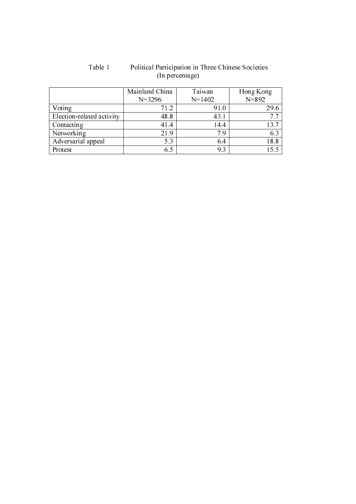|                           | Mainland China | Taiwan     | Hong Kong |
|---------------------------|----------------|------------|-----------|
|                           | $N = 3296$     | $N = 1402$ | $N = 892$ |
| Voting                    | 71.2           | 91.0       | 29.6      |
| Election-related activity | 48.8           | 43.1       | 7.7       |
| Contacting                | 41.4           | 14.4       | 13.7      |
| Networking                | 21.9           | 79         | 6.3       |
| Adversarial appeal        | 5.3            | 6.4        | 18.8      |
| Protest                   | 6.5            | 9.3        | 15.5      |

## Table 1 Political Participation in Three Chinese Societies (In percentage)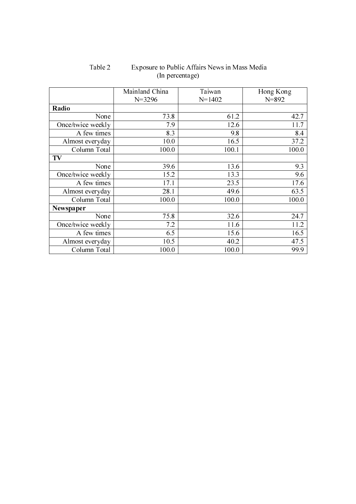|                   | Mainland China | Taiwan     | Hong Kong |  |
|-------------------|----------------|------------|-----------|--|
|                   | $N = 3296$     | $N = 1402$ | $N = 892$ |  |
| Radio             |                |            |           |  |
| None              | 73.8           | 61.2       | 42.7      |  |
| Once/twice weekly | 7.9            | 12.6       | 11.7      |  |
| A few times       | 8.3            | 9.8        | 8.4       |  |
| Almost everyday   | 10.0           | 16.5       | 37.2      |  |
| Column Total      | 100.0          | 100.1      | 100.0     |  |
| TV                |                |            |           |  |
| None              | 39.6           | 13.6       | 9.3       |  |
| Once/twice weekly | 15.2           | 13.3       | 9.6       |  |
| A few times       | 17.1           | 23.5       | 17.6      |  |
| Almost everyday   | 28.1           | 49.6       | 63.5      |  |
| Column Total      | 100.0          | 100.0      | 100.0     |  |
| Newspaper         |                |            |           |  |
| None              | 75.8           | 32.6       | 24.7      |  |
| Once/twice weekly | 7.2            | 11.6       | 11.2      |  |
| A few times       | 6.5            | 15.6       | 16.5      |  |
| Almost everyday   | 10.5           | 40.2       | 47.5      |  |
| Column Total      | 100.0          | 100.0      | 99.9      |  |

Table 2 Exposure to Public Affairs News in Mass Media (In percentage)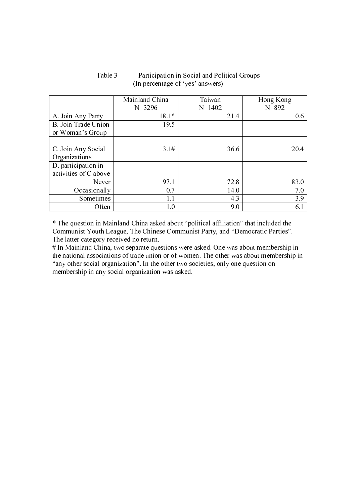|                                   | Mainland China | Taiwan     | Hong Kong |
|-----------------------------------|----------------|------------|-----------|
|                                   | $N = 3296$     | $N = 1402$ | $N = 892$ |
| A. Join Any Party                 | $18.1*$        | 21.4       | 0.6       |
| B. Join Trade Union               | 19.5           |            |           |
| or Woman's Group                  |                |            |           |
|                                   |                |            |           |
| C. Join Any Social                | 3.1#           | 36.6       | 20.4      |
| Organizations                     |                |            |           |
| $\overline{D}$ . participation in |                |            |           |
| activities of C above             |                |            |           |
| Never                             | 97.1           | 72.8       | 83.0      |
| Occasionally                      | 0.7            | 14.0       | 7.0       |
| Sometimes                         | 1.1            | 4.3        | 3.9       |
| Often                             | 1.0            | 9.0        | 6.1       |

## Table 3 Participation in Social and Political Groups (In percentage of 'yes' answers)

\* The question in Mainland China asked about "political affiliation" that included the Communist Youth League, The Chinese Communist Party, and "Democratic Parties". The latter category received no return.

# In Mainland China, two separate questions were asked. One was about membership in the national associations of trade union or of women. The other was about membership in "any other social organization". In the other two societies, only one question on membership in any social organization was asked.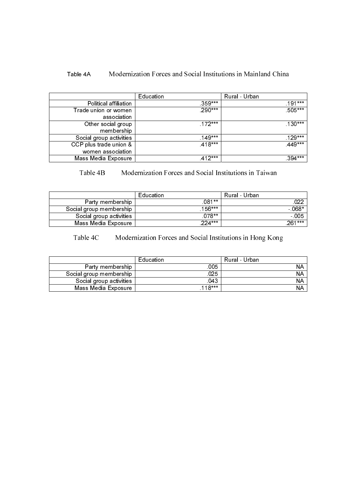# Table 4A Modernization Forces and Social Institutions in Mainland China

|                                             | Education | Rural - Urban |
|---------------------------------------------|-----------|---------------|
| Political affiliation                       | $359***$  | $191***$      |
| Trade union or women<br>association         | 290***    | $505***$      |
| Other social group<br>membership            | $.172***$ | $.130***$     |
| Social group activities                     | $149***$  | $129***$      |
| CCP plus trade union &<br>women association | $.418***$ | $449***$      |
| Mass Media Exposure                         | $412***$  | 394***        |

## Table 4B Modernization Forces and Social Institutions in Taiwan

|                         | Education | Rural - Urban |
|-------------------------|-----------|---------------|
| Party membership        | $081**$   | 022           |
| Social group membership | $156***$  | $-068*$       |
| Social group activities | $078**$   | $-005$        |
| Mass Media Exposure     | $224***$  | $261***$      |

# Table 4C Modernization Forces and Social Institutions in Hong Kong

|                         | Education | Rural - Urban |
|-------------------------|-----------|---------------|
| Party membership        | .005      | NΑ            |
| Social group membership | 025       | NΑ            |
| Social group activities | 043       | <b>NA</b>     |
| Mass Media Exposure     | $118***$  | NΑ            |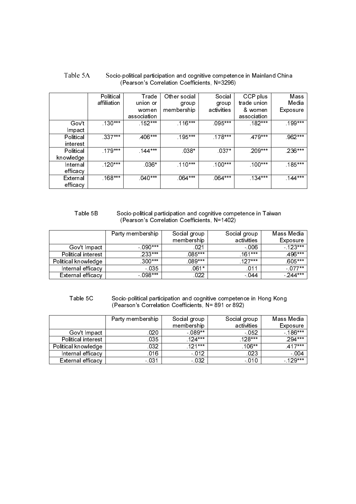| Table 5A | Socio-political participation and cognitive competence in Mainland China |
|----------|--------------------------------------------------------------------------|
|          | (Pearson's Correlation Coefficients N=3296)                              |

|           | Political   | Trade       | Other social | Social     | CCP plus    | Mass      |
|-----------|-------------|-------------|--------------|------------|-------------|-----------|
|           | affiliation | union or    | group        | group      | trade union | Media     |
|           |             | women       | membership   | activities | & women     | Exposure  |
|           |             | association |              |            | association |           |
| Gov't     | $.130***$   | $.152***$   | $.116***$    | $095***$   | $.182***$   | $.199***$ |
| Impact    |             |             |              |            |             |           |
| Political | $337***$    | $406***$    | $195***$     | $.178***$  | 479***      | 962***    |
| interest  |             |             |              |            |             |           |
| Political | $179***$    | $144***$    | $038*$       | $037*$     | .209***     | $.236***$ |
| knowledge |             |             |              |            |             |           |
| Internal  | $.120***$   | $.036*$     | $.110***$    | $.100***$  | $.100***$   | $.185***$ |
| efficacy  |             |             |              |            |             |           |
| External  | $168***$    | $040***$    | 064***       | 064***     | $134***$    | $144***$  |
| efficacy  |             |             |              |            |             |           |

#### Table 5B Socio-political participation and cognitive competence in Taiwan (Pearson's Correlation Coefficients, N=1402)

|                     | Party membership | Social group<br>membership | Social group<br>activities | Mass Media<br>Exposure |
|---------------------|------------------|----------------------------|----------------------------|------------------------|
| Gov't Impact        | - 090***         | .021                       | $-006$                     | $-123***$              |
| Political interest  | $233***$         | $085***$                   | $161***$                   | 496***                 |
| Political knowledge | $.300***$        | $.089***$                  | $127***$                   | .605***                |
| Internal efficacy   | $-035$           | $061*$                     | .011                       | $-077**$               |
| External efficacy   | $-098***$        | .022                       | - 044                      | $-244***$              |

Table 5C Socio-political participation and cognitive competence in Hong Kong (Pearson's Correlation Coefficients, N= 891 or 892)

|                     | Party membership | Social group | Social group | Mass Media |
|---------------------|------------------|--------------|--------------|------------|
|                     |                  | membership   | activities   | Exposure   |
| Gov't Impact        | .020             | $-089**$     | $-052$       | $-186***$  |
| Political interest  | 035              | $124***$     | $128***$     | $.294***$  |
| Political knowledge | 032              | $121***$     | $.106***$    | $417***$   |
| Internal efficacy   | 016              | $-012$       | .023         | $-004$     |
| External efficacy   | $-031$           | $-032$       | $-010$       | $-129***$  |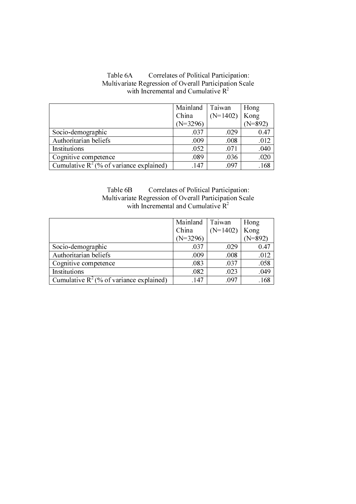|                                            | Mainland   | Taiwan     | Hong      |
|--------------------------------------------|------------|------------|-----------|
|                                            | China      | $(N=1402)$ | Kong      |
|                                            | $(N=3296)$ |            | $(N=892)$ |
| Socio-demographic                          | .037       | .029       | 0.47      |
| Authoritarian beliefs                      | .009       | .008       | .012      |
| Institutions                               | .052       | .071       | .040      |
| Cognitive competence                       | .089       | .036       | .020      |
| Cumulative $R^2$ (% of variance explained) | 147        | .097       | .168      |

## Table 6A Correlates of Political Participation: Multivariate Regression of Overall Participation Scale with Incremental and Cumulative  $R^2$

## Table 6B Correlates of Political Participation: Multivariate Regression of Overall Participation Scale with Incremental and Cumulative  $R^2$

|                                            | Mainland   | Taiwan     | Hong      |
|--------------------------------------------|------------|------------|-----------|
|                                            | China      | $(N=1402)$ | Kong      |
|                                            | $(N=3296)$ |            | $N = 892$ |
| Socio-demographic                          | .037       | .029       | 0.47      |
| Authoritarian beliefs                      | .009       | .008       | .012      |
| Cognitive competence                       | .083       | .037       | .058      |
| Institutions                               | .082       | .023       | .049      |
| Cumulative $R^2$ (% of variance explained) | .147       | .097       | .168      |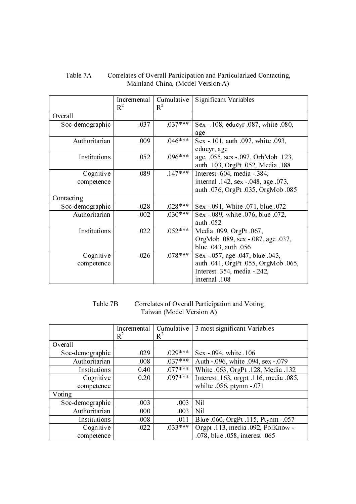## Table 7A Correlates of Overall Participation and Particularized Contacting, Mainland China, (Model Version A)

|                 | Incremental<br>$R^2$ | Cumulative<br>$R^2$ | Significant Variables                                                   |
|-----------------|----------------------|---------------------|-------------------------------------------------------------------------|
| Overall         |                      |                     |                                                                         |
| Soc-demographic | .037                 | $.037***$           | Sex - 108, educyr .087, white .080,<br>age                              |
| Authoritarian   | .009                 | $.046***$           | Sex -.101, auth .097, white .093,<br>educyr, age                        |
| Institutions    | .052                 | $.096***$           | age, .055, sex -.097, OrbMob .123,<br>auth .103, OrgPt .052, Media .188 |
| Cognitive       | .089                 | $.147***$           | Interest .604, media -.384,                                             |
| competence      |                      |                     | internal .142, sex -.048, age .073,                                     |
|                 |                      |                     | auth .076, OrgPt .035, OrgMob .085                                      |
| Contacting      |                      |                     |                                                                         |
| Soc-demographic | .028                 | $.028***$           | Sex -.091, White .071, blue .072                                        |
| Authoritarian   | .002                 | $.030***$           | Sex -.089, white .076, blue .072,                                       |
|                 |                      |                     | auth .052                                                               |
| Institutions    | .022                 | $.052***$           | Media .099, OrgPt .067,                                                 |
|                 |                      |                     | OrgMob .089, sex -.087, age .037,                                       |
|                 |                      |                     | blue .043, auth .056                                                    |
| Cognitive       | .026                 | $.078***$           | Sex -.057, age .047, blue .043,                                         |
| competence      |                      |                     | auth .041, OrgPt .055, OrgMob .065,                                     |
|                 |                      |                     | Interest .354, media -.242,                                             |
|                 |                      |                     | internal .108                                                           |

# Table 7B Correlates of Overall Participation and Voting Taiwan (Model Version A)

|                 | Incremental<br>$R^2$ | Cumulative<br>$R^2$ | 3 most significant Variables           |
|-----------------|----------------------|---------------------|----------------------------------------|
| Overall         |                      |                     |                                        |
| Soc-demographic | .029                 | $.029***$           | Sex -.094, white .106                  |
| Authoritarian   | .008                 | $.037***$           | Auth -.096, white .094, sex -.079      |
| Institutions    | 0.40                 | $.077***$           | White .063, OrgPt .128, Media .132     |
| Cognitive       | 0.20                 | $.097***$           | Interest .163, orgpt .116, media .085, |
| competence      |                      |                     | whilte .056, ptynm -.071               |
| Voting          |                      |                     |                                        |
| Soc-demographic | .003                 | .003                | <b>Nil</b>                             |
| Authoritarian   | .000                 | .003                | <b>Nil</b>                             |
| Institutions    | .008                 | .011                | Blue .060, OrgPt .115, Ptynm -.057     |
| Cognitive       | .022                 | $.033***$           | Orgpt .113, media .092, PolKnow -      |
| competence      |                      |                     | .078, blue .058, interest .065         |